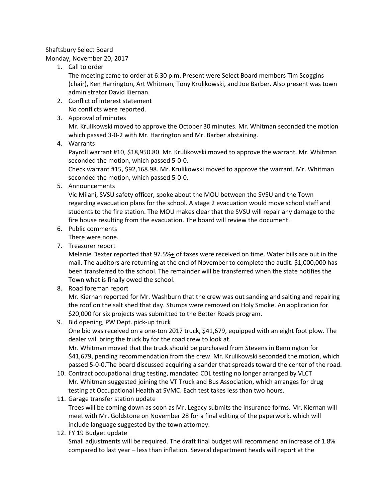## Shaftsbury Select Board Monday, November 20, 2017

1. Call to order

The meeting came to order at 6:30 p.m. Present were Select Board members Tim Scoggins (chair), Ken Harrington, Art Whitman, Tony Krulikowski, and Joe Barber. Also present was town administrator David Kiernan.

- 2. Conflict of interest statement No conflicts were reported.
- 3. Approval of minutes

Mr. Krulikowski moved to approve the October 30 minutes. Mr. Whitman seconded the motion which passed 3-0-2 with Mr. Harrington and Mr. Barber abstaining.

4. Warrants

Payroll warrant #10, \$18,950.80. Mr. Krulikowski moved to approve the warrant. Mr. Whitman seconded the motion, which passed 5-0-0.

Check warrant #15, \$92,168.98. Mr. Krulikowski moved to approve the warrant. Mr. Whitman seconded the motion, which passed 5-0-0.

5. Announcements

Vic Milani, SVSU safety officer, spoke about the MOU between the SVSU and the Town regarding evacuation plans for the school. A stage 2 evacuation would move school staff and students to the fire station. The MOU makes clear that the SVSU will repair any damage to the fire house resulting from the evacuation. The board will review the document.

6. Public comments

There were none.

7. Treasurer report

Melanie Dexter reported that 97.5%+ of taxes were received on time. Water bills are out in the mail. The auditors are returning at the end of November to complete the audit. \$1,000,000 has been transferred to the school. The remainder will be transferred when the state notifies the Town what is finally owed the school.

8. Road foreman report

Mr. Kiernan reported for Mr. Washburn that the crew was out sanding and salting and repairing the roof on the salt shed that day. Stumps were removed on Holy Smoke. An application for \$20,000 for six projects was submitted to the Better Roads program.

9. Bid opening, PW Dept. pick-up truck

One bid was received on a one-ton 2017 truck, \$41,679, equipped with an eight foot plow. The dealer will bring the truck by for the road crew to look at. Mr. Whitman moved that the truck should be purchased from Stevens in Bennington for

\$41,679, pending recommendation from the crew. Mr. Krulikowski seconded the motion, which passed 5-0-0.The board discussed acquiring a sander that spreads toward the center of the road.

- 10. Contract occupational drug testing, mandated CDL testing no longer arranged by VLCT Mr. Whitman suggested joining the VT Truck and Bus Association, which arranges for drug testing at Occupational Health at SVMC. Each test takes less than two hours.
- 11. Garage transfer station update

Trees will be coming down as soon as Mr. Legacy submits the insurance forms. Mr. Kiernan will meet with Mr. Goldstone on November 28 for a final editing of the paperwork, which will include language suggested by the town attorney.

12. FY 19 Budget update

Small adjustments will be required. The draft final budget will recommend an increase of 1.8% compared to last year – less than inflation. Several department heads will report at the